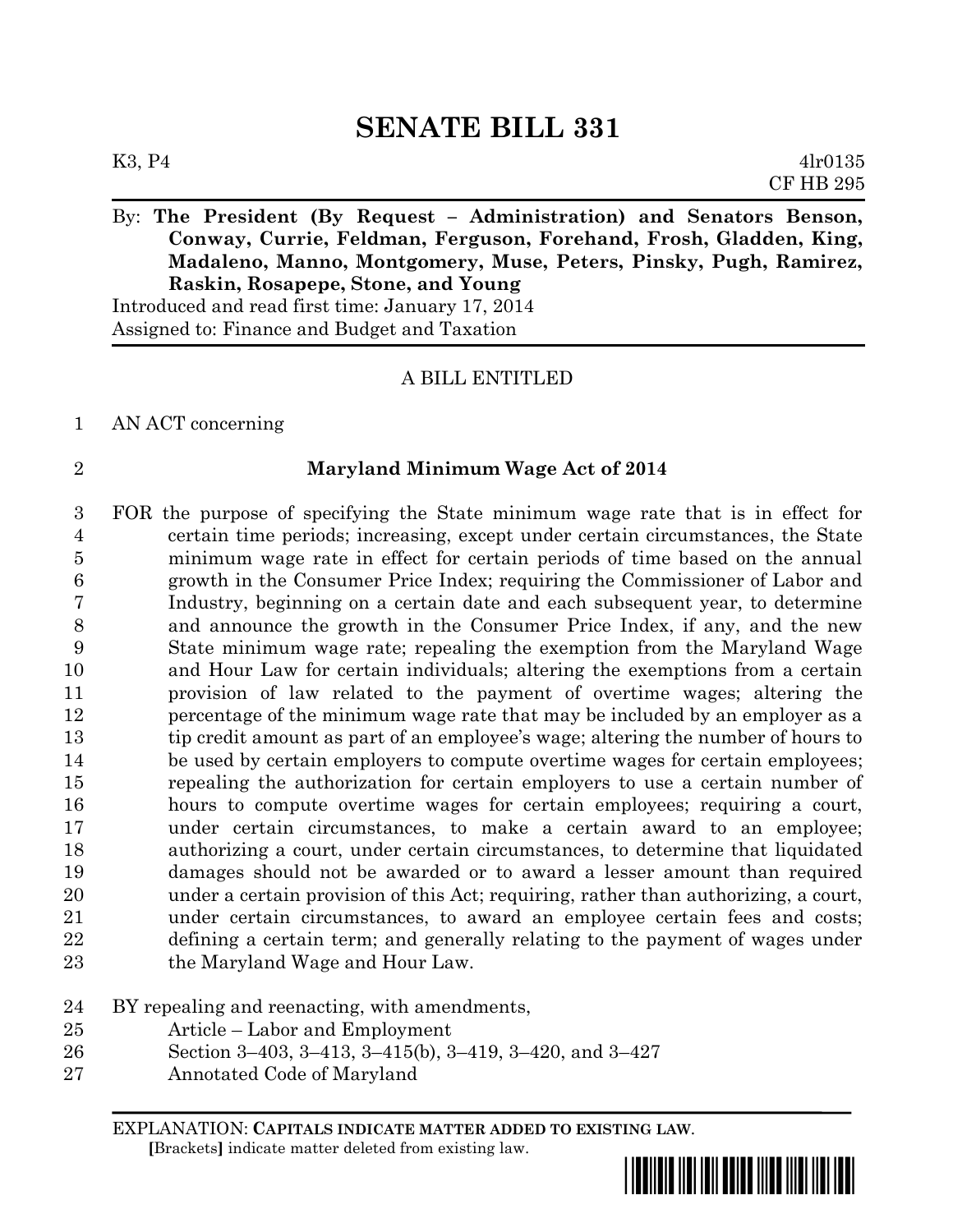# **SENATE BILL 331**

## By: **The President (By Request – Administration) and Senators Benson, Conway, Currie, Feldman, Ferguson, Forehand, Frosh, Gladden, King, Madaleno, Manno, Montgomery, Muse, Peters, Pinsky, Pugh, Ramirez, Raskin, Rosapepe, Stone, and Young**

Introduced and read first time: January 17, 2014 Assigned to: Finance and Budget and Taxation

#### A BILL ENTITLED

#### AN ACT concerning

#### **Maryland Minimum Wage Act of 2014**

 FOR the purpose of specifying the State minimum wage rate that is in effect for certain time periods; increasing, except under certain circumstances, the State minimum wage rate in effect for certain periods of time based on the annual growth in the Consumer Price Index; requiring the Commissioner of Labor and Industry, beginning on a certain date and each subsequent year, to determine and announce the growth in the Consumer Price Index, if any, and the new State minimum wage rate; repealing the exemption from the Maryland Wage and Hour Law for certain individuals; altering the exemptions from a certain provision of law related to the payment of overtime wages; altering the percentage of the minimum wage rate that may be included by an employer as a tip credit amount as part of an employee's wage; altering the number of hours to 14 be used by certain employers to compute overtime wages for certain employees; repealing the authorization for certain employers to use a certain number of hours to compute overtime wages for certain employees; requiring a court, under certain circumstances, to make a certain award to an employee; authorizing a court, under certain circumstances, to determine that liquidated damages should not be awarded or to award a lesser amount than required under a certain provision of this Act; requiring, rather than authorizing, a court, under certain circumstances, to award an employee certain fees and costs; defining a certain term; and generally relating to the payment of wages under the Maryland Wage and Hour Law.

#### BY repealing and reenacting, with amendments,

- Article Labor and Employment
- Section 3–403, 3–413, 3–415(b), 3–419, 3–420, and 3–427
- Annotated Code of Maryland

EXPLANATION: **CAPITALS INDICATE MATTER ADDED TO EXISTING LAW**.  **[**Brackets**]** indicate matter deleted from existing law.

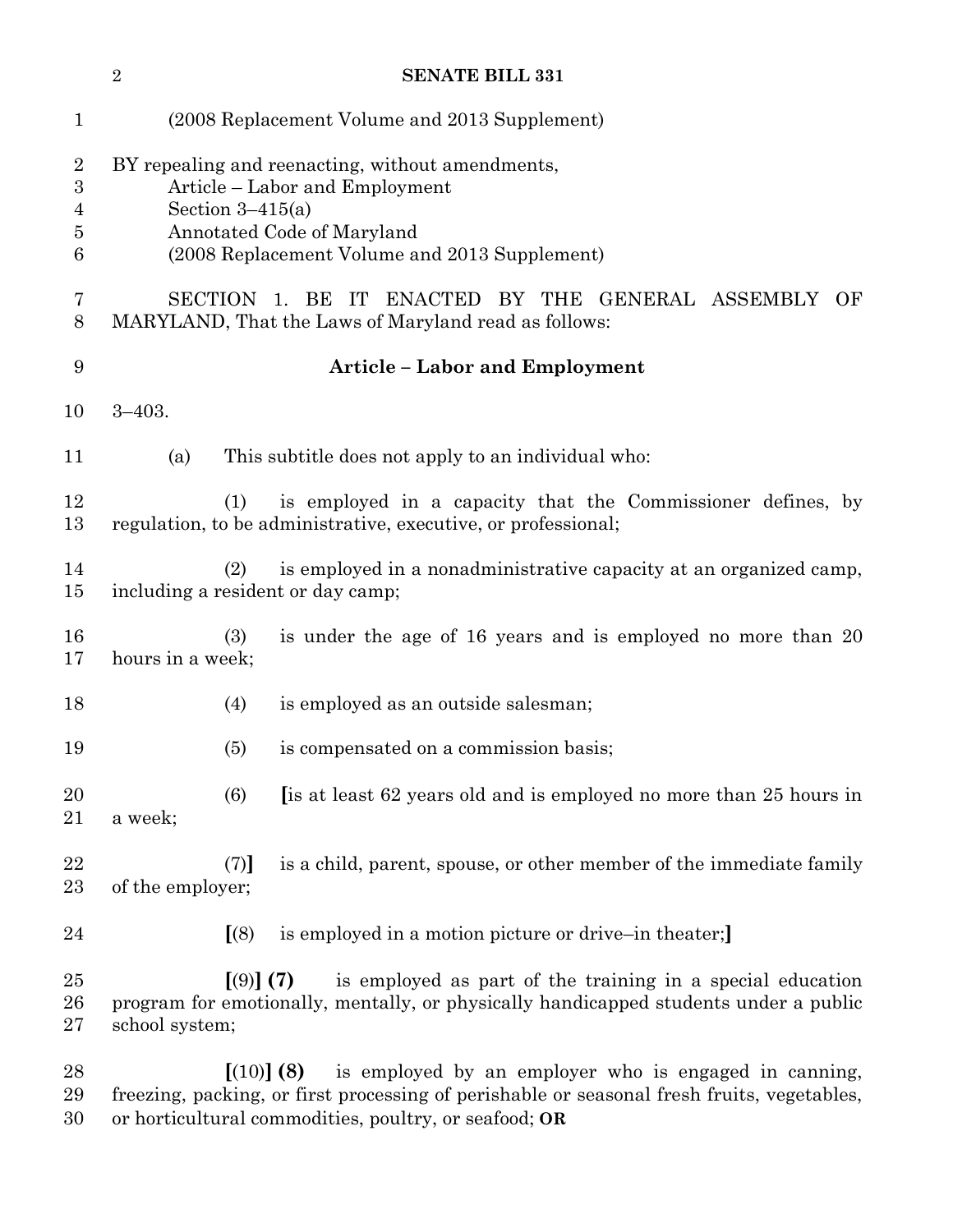|                                                   | $\sqrt{2}$                                                                                                                                                                              |                                               | <b>SENATE BILL 331</b>                                                                                                                                            |  |  |  |  |
|---------------------------------------------------|-----------------------------------------------------------------------------------------------------------------------------------------------------------------------------------------|-----------------------------------------------|-------------------------------------------------------------------------------------------------------------------------------------------------------------------|--|--|--|--|
| $\mathbf{1}$                                      |                                                                                                                                                                                         | (2008 Replacement Volume and 2013 Supplement) |                                                                                                                                                                   |  |  |  |  |
| $\overline{2}$<br>$\boldsymbol{3}$<br>4<br>5<br>6 | BY repealing and reenacting, without amendments,<br>Article – Labor and Employment<br>Section $3-415(a)$<br>Annotated Code of Maryland<br>(2008 Replacement Volume and 2013 Supplement) |                                               |                                                                                                                                                                   |  |  |  |  |
| 7<br>8                                            | SECTION 1. BE IT ENACTED BY THE GENERAL ASSEMBLY<br>OF<br>MARYLAND, That the Laws of Maryland read as follows:                                                                          |                                               |                                                                                                                                                                   |  |  |  |  |
| 9                                                 | <b>Article - Labor and Employment</b>                                                                                                                                                   |                                               |                                                                                                                                                                   |  |  |  |  |
| 10                                                | $3 - 403.$                                                                                                                                                                              |                                               |                                                                                                                                                                   |  |  |  |  |
| 11                                                | (a)                                                                                                                                                                                     |                                               | This subtitle does not apply to an individual who:                                                                                                                |  |  |  |  |
| 12<br>13                                          |                                                                                                                                                                                         | (1)                                           | is employed in a capacity that the Commissioner defines, by<br>regulation, to be administrative, executive, or professional;                                      |  |  |  |  |
| 14<br>15                                          |                                                                                                                                                                                         | (2)                                           | is employed in a nonadministrative capacity at an organized camp,<br>including a resident or day camp;                                                            |  |  |  |  |
| 16<br>17                                          | hours in a week;                                                                                                                                                                        | (3)                                           | is under the age of 16 years and is employed no more than 20                                                                                                      |  |  |  |  |
| 18                                                |                                                                                                                                                                                         | (4)                                           | is employed as an outside salesman;                                                                                                                               |  |  |  |  |
| 19                                                |                                                                                                                                                                                         | (5)                                           | is compensated on a commission basis;                                                                                                                             |  |  |  |  |
| 20<br>21                                          | a week;                                                                                                                                                                                 | (6)                                           | [is at least 62 years old and is employed no more than 25 hours in                                                                                                |  |  |  |  |
| 22<br>$23\,$                                      | of the employer;                                                                                                                                                                        | (7)                                           | is a child, parent, spouse, or other member of the immediate family                                                                                               |  |  |  |  |
| 24                                                |                                                                                                                                                                                         | (8)                                           | is employed in a motion picture or drive-in theater;                                                                                                              |  |  |  |  |
| $25\,$<br>26<br>$27\,$                            | school system;                                                                                                                                                                          | $(9)$ (7)                                     | is employed as part of the training in a special education<br>program for emotionally, mentally, or physically handicapped students under a public                |  |  |  |  |
| 28<br>29                                          |                                                                                                                                                                                         |                                               | is employed by an employer who is engaged in canning,<br>[(10)] (8)<br>freezing, packing, or first processing of perishable or seasonal fresh fruits, vegetables, |  |  |  |  |

or horticultural commodities, poultry, or seafood; **OR**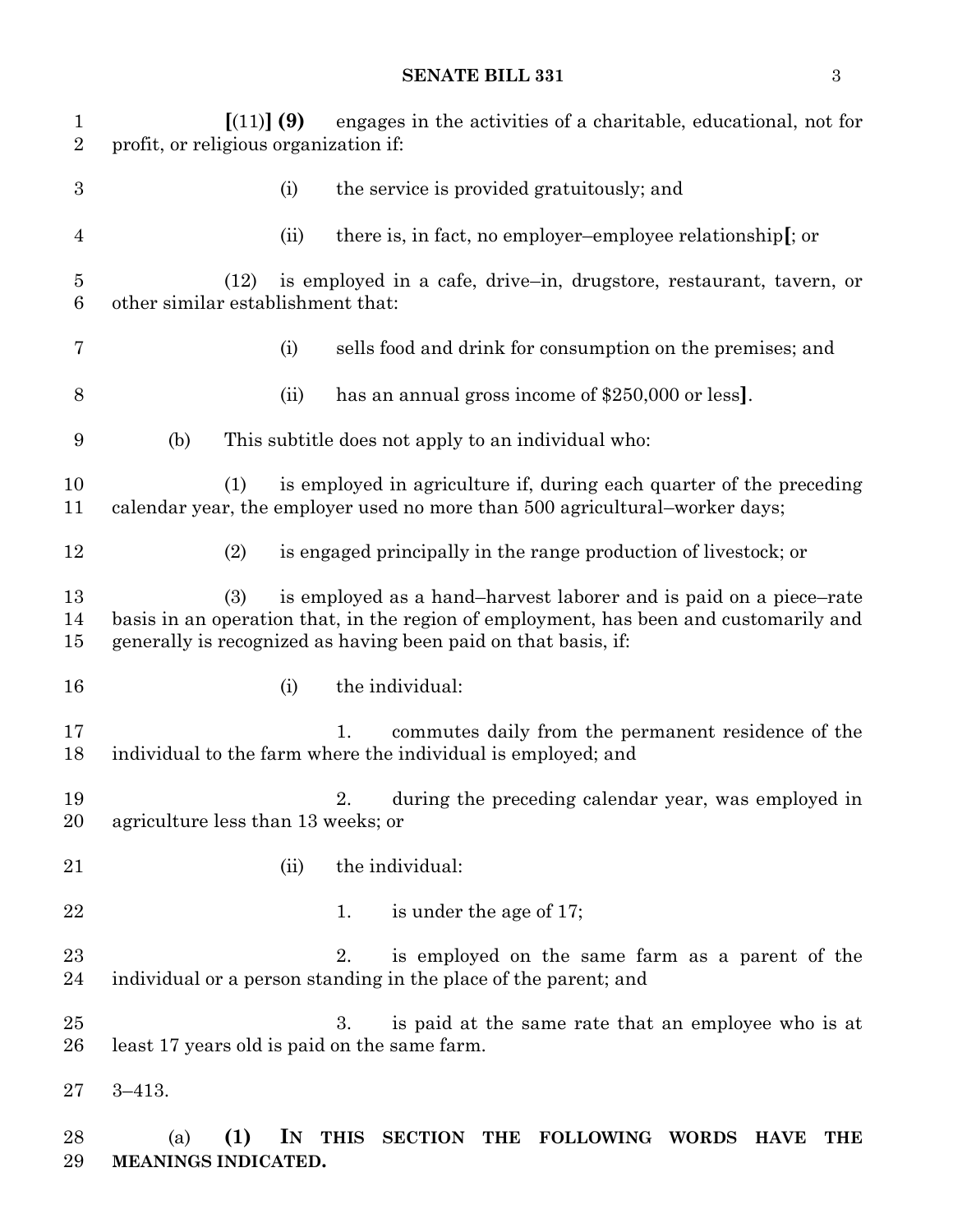| $\mathbf{1}$<br>$\overline{2}$ | [(11)] (9)<br>profit, or religious organization if: |      | engages in the activities of a charitable, educational, not for                                                                                                                                                              |
|--------------------------------|-----------------------------------------------------|------|------------------------------------------------------------------------------------------------------------------------------------------------------------------------------------------------------------------------------|
| $\boldsymbol{3}$               |                                                     | (i)  | the service is provided gratuitously; and                                                                                                                                                                                    |
| $\overline{4}$                 |                                                     | (ii) | there is, in fact, no employer-employee relationship[; or                                                                                                                                                                    |
| $\overline{5}$<br>6            | (12)<br>other similar establishment that:           |      | is employed in a cafe, drive-in, drugstore, restaurant, tavern, or                                                                                                                                                           |
| 7                              |                                                     | (i)  | sells food and drink for consumption on the premises; and                                                                                                                                                                    |
| 8                              |                                                     | (ii) | has an annual gross income of \$250,000 or less.                                                                                                                                                                             |
| 9                              | (b)                                                 |      | This subtitle does not apply to an individual who:                                                                                                                                                                           |
| 10<br>11                       | (1)                                                 |      | is employed in agriculture if, during each quarter of the preceding<br>calendar year, the employer used no more than 500 agricultural–worker days;                                                                           |
| 12                             | (2)                                                 |      | is engaged principally in the range production of livestock; or                                                                                                                                                              |
| 13<br>14<br>15                 | (3)                                                 |      | is employed as a hand-harvest laborer and is paid on a piece-rate<br>basis in an operation that, in the region of employment, has been and customarily and<br>generally is recognized as having been paid on that basis, if: |
| 16                             |                                                     | (i)  | the individual:                                                                                                                                                                                                              |
| 17<br>18                       |                                                     |      | commutes daily from the permanent residence of the<br>1.<br>individual to the farm where the individual is employed; and                                                                                                     |
| 19<br>20                       | agriculture less than 13 weeks; or                  |      | during the preceding calendar year, was employed in<br>2.                                                                                                                                                                    |
| 21                             |                                                     | (ii) | the individual:                                                                                                                                                                                                              |
| 22                             |                                                     |      | is under the age of 17;<br>1.                                                                                                                                                                                                |
| 23<br>24                       |                                                     |      | is employed on the same farm as a parent of the<br>2.<br>individual or a person standing in the place of the parent; and                                                                                                     |
| 25<br>26                       | least 17 years old is paid on the same farm.        |      | is paid at the same rate that an employee who is at<br>3.                                                                                                                                                                    |
| 27                             | $3 - 413.$                                          |      |                                                                                                                                                                                                                              |
| 28<br>29                       | (1)<br>(a)<br>MEANINGS INDICATED.                   | IN   | <b>THIS</b><br>SECTION THE FOLLOWING WORDS<br><b>HAVE</b><br><b>THE</b>                                                                                                                                                      |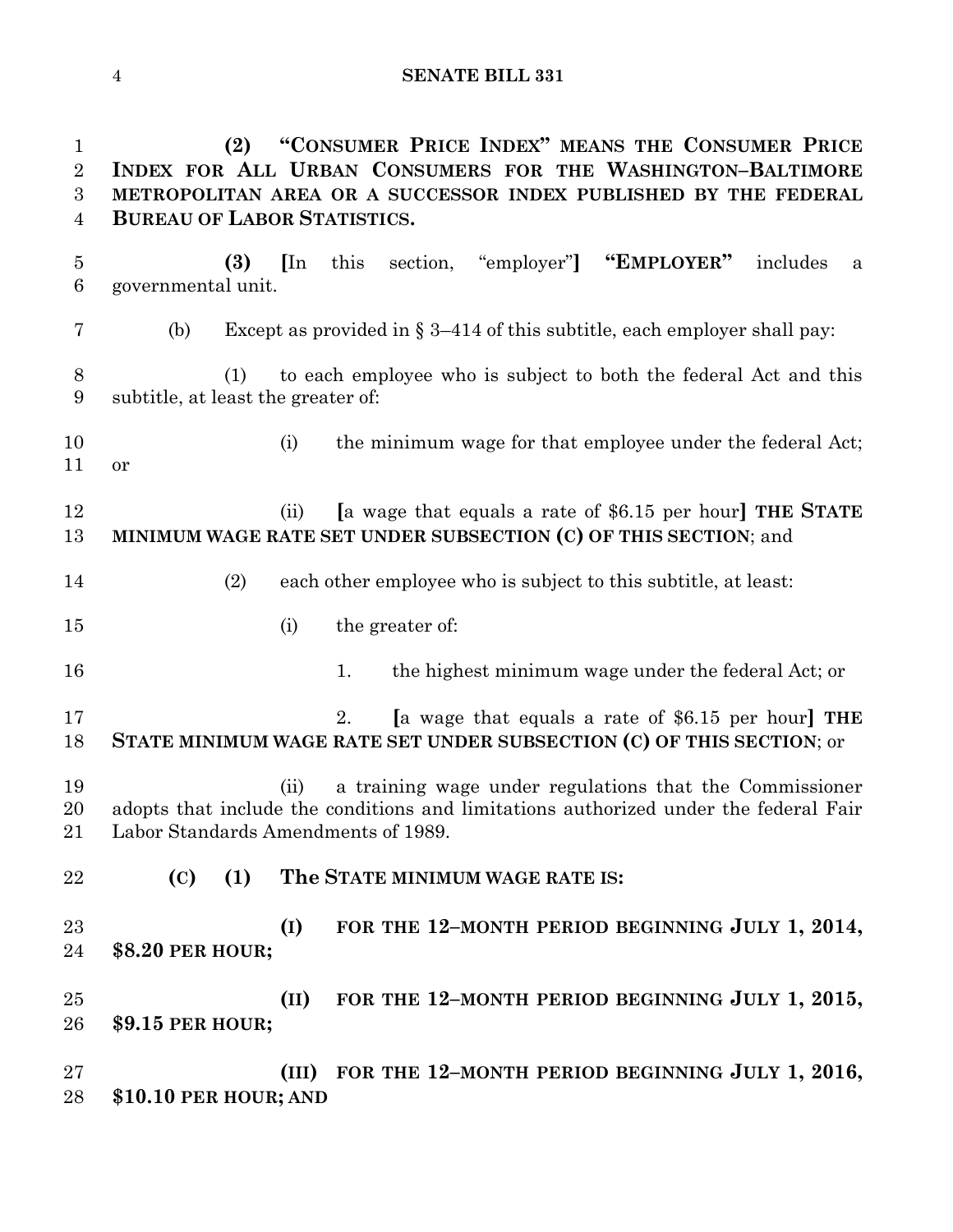**SENATE BILL 331**

 **(2) "CONSUMER PRICE INDEX" MEANS THE CONSUMER PRICE INDEX FOR ALL URBAN CONSUMERS FOR THE WASHINGTON–BALTIMORE METROPOLITAN AREA OR A SUCCESSOR INDEX PUBLISHED BY THE FEDERAL BUREAU OF LABOR STATISTICS. (3) [**In this section, "employer"**] "EMPLOYER"** includes a governmental unit. 7 (b) Except as provided in  $\S 3-414$  of this subtitle, each employer shall pay: (1) to each employee who is subject to both the federal Act and this subtitle, at least the greater of: 10 (i) the minimum wage for that employee under the federal Act; or (ii) **[**a wage that equals a rate of \$6.15 per hour**] THE STATE MINIMUM WAGE RATE SET UNDER SUBSECTION (C) OF THIS SECTION**; and (2) each other employee who is subject to this subtitle, at least: (i) the greater of: 16 16 1. the highest minimum wage under the federal Act; or 2. **[**a wage that equals a rate of \$6.15 per hour**] THE STATE MINIMUM WAGE RATE SET UNDER SUBSECTION (C) OF THIS SECTION**; or (ii) a training wage under regulations that the Commissioner adopts that include the conditions and limitations authorized under the federal Fair Labor Standards Amendments of 1989. **(C) (1) The STATE MINIMUM WAGE RATE IS: (I) FOR THE 12–MONTH PERIOD BEGINNING JULY 1, 2014, \$8.20 PER HOUR;**

 **(II) FOR THE 12–MONTH PERIOD BEGINNING JULY 1, 2015, \$9.15 PER HOUR;**

 **(III) FOR THE 12–MONTH PERIOD BEGINNING JULY 1, 2016, \$10.10 PER HOUR; AND**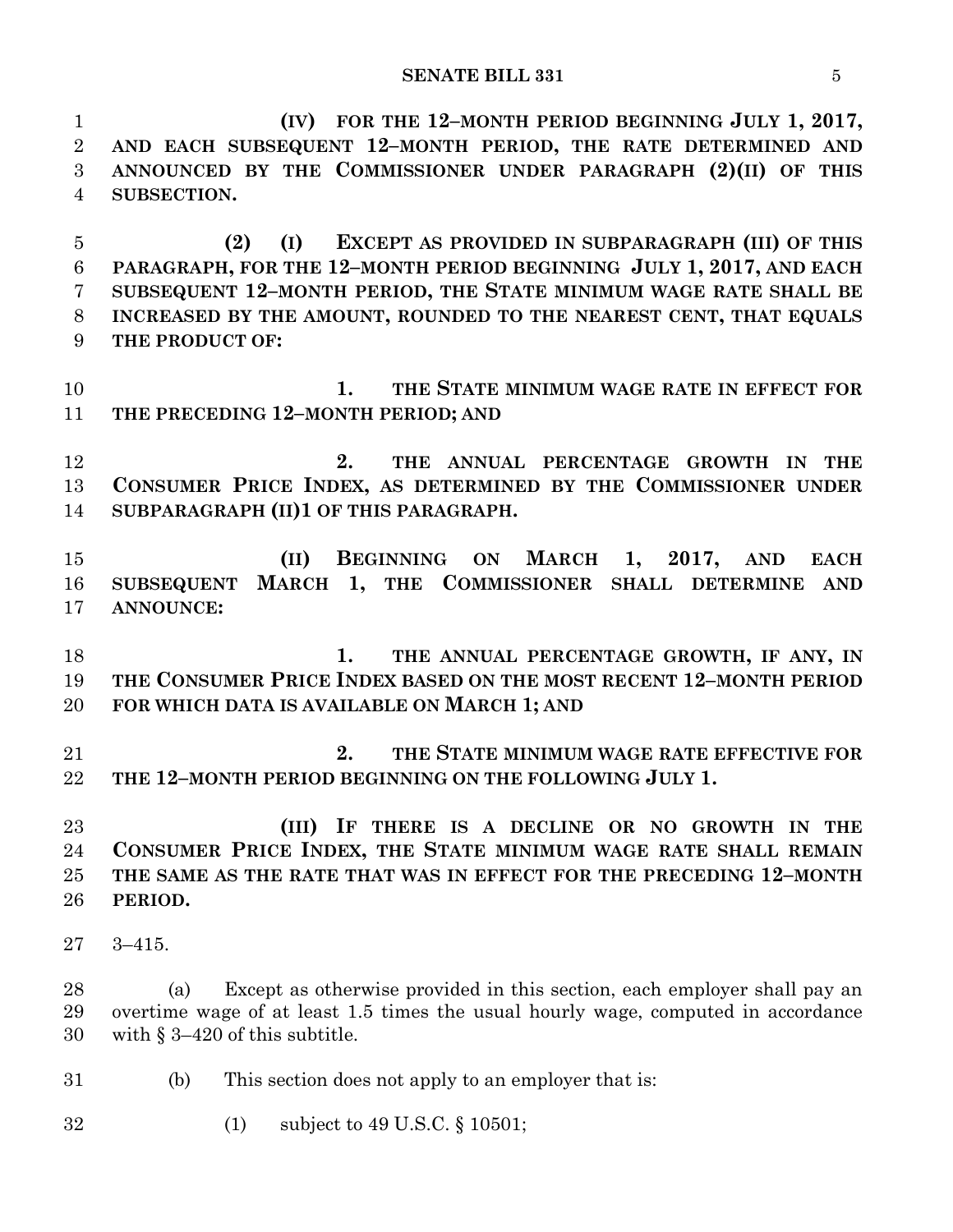**(IV) FOR THE 12–MONTH PERIOD BEGINNING JULY 1, 2017,**

 **AND EACH SUBSEQUENT 12–MONTH PERIOD, THE RATE DETERMINED AND ANNOUNCED BY THE COMMISSIONER UNDER PARAGRAPH (2)(II) OF THIS SUBSECTION. (2) (I) EXCEPT AS PROVIDED IN SUBPARAGRAPH (III) OF THIS PARAGRAPH, FOR THE 12–MONTH PERIOD BEGINNING JULY 1, 2017, AND EACH SUBSEQUENT 12–MONTH PERIOD, THE STATE MINIMUM WAGE RATE SHALL BE INCREASED BY THE AMOUNT, ROUNDED TO THE NEAREST CENT, THAT EQUALS THE PRODUCT OF: 1. THE STATE MINIMUM WAGE RATE IN EFFECT FOR THE PRECEDING 12–MONTH PERIOD; AND 2. THE ANNUAL PERCENTAGE GROWTH IN THE CONSUMER PRICE INDEX, AS DETERMINED BY THE COMMISSIONER UNDER SUBPARAGRAPH (II)1 OF THIS PARAGRAPH. (II) BEGINNING ON MARCH 1, 2017, AND EACH SUBSEQUENT MARCH 1, THE COMMISSIONER SHALL DETERMINE AND ANNOUNCE: 1. THE ANNUAL PERCENTAGE GROWTH, IF ANY, IN THE CONSUMER PRICE INDEX BASED ON THE MOST RECENT 12–MONTH PERIOD FOR WHICH DATA IS AVAILABLE ON MARCH 1; AND 2. THE STATE MINIMUM WAGE RATE EFFECTIVE FOR THE 12–MONTH PERIOD BEGINNING ON THE FOLLOWING JULY 1. (III) IF THERE IS A DECLINE OR NO GROWTH IN THE CONSUMER PRICE INDEX, THE STATE MINIMUM WAGE RATE SHALL REMAIN THE SAME AS THE RATE THAT WAS IN EFFECT FOR THE PRECEDING 12–MONTH PERIOD.** 3–415. (a) Except as otherwise provided in this section, each employer shall pay an overtime wage of at least 1.5 times the usual hourly wage, computed in accordance with § 3–420 of this subtitle. (b) This section does not apply to an employer that is:

(1) subject to 49 U.S.C. § 10501;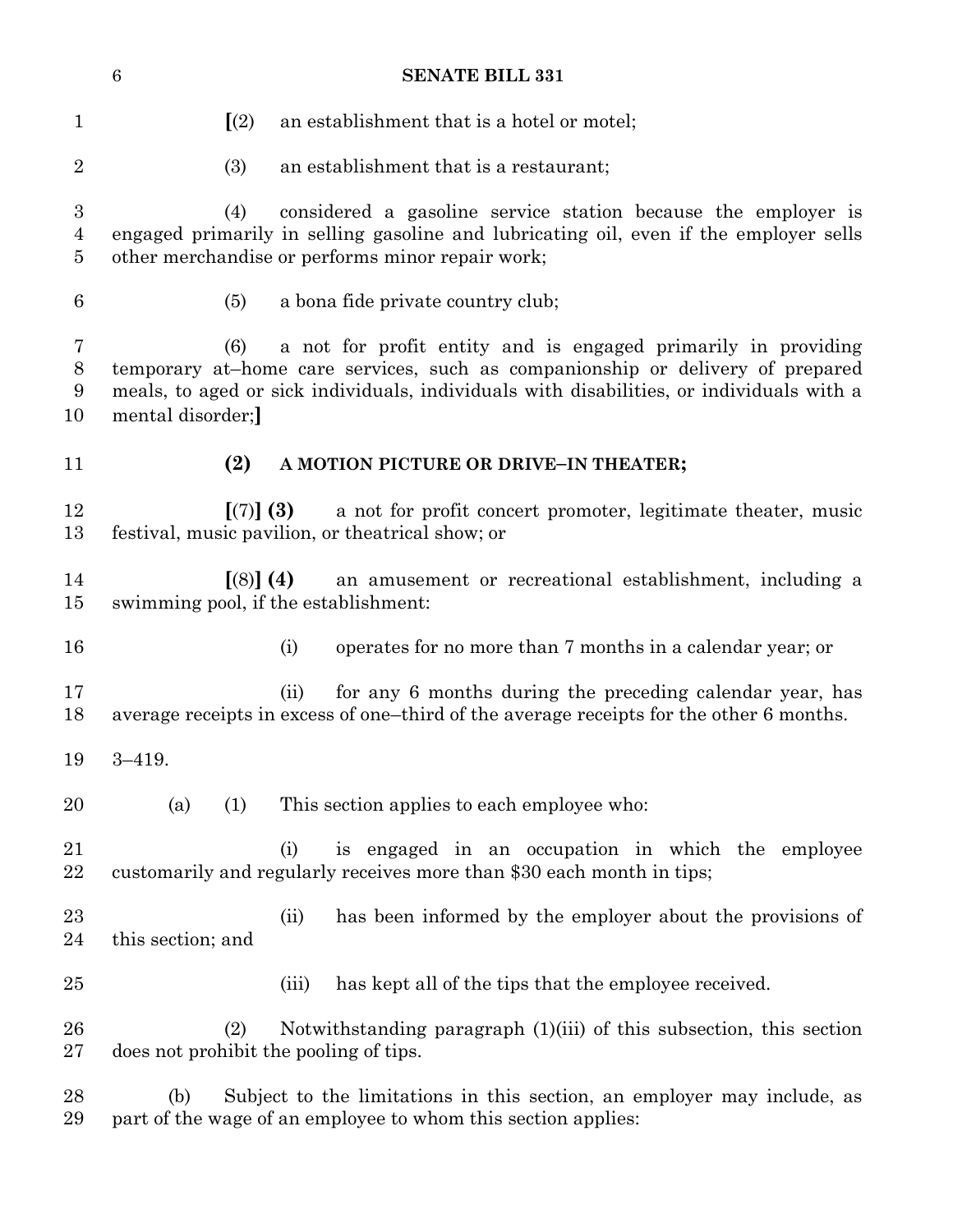|                                                      | <b>SENATE BILL 331</b><br>$\,6$                                                                                                                                                                                                                                        |                                                                                                                                                                                                            |  |  |  |
|------------------------------------------------------|------------------------------------------------------------------------------------------------------------------------------------------------------------------------------------------------------------------------------------------------------------------------|------------------------------------------------------------------------------------------------------------------------------------------------------------------------------------------------------------|--|--|--|
| $\mathbf{1}$                                         | (2)                                                                                                                                                                                                                                                                    | an establishment that is a hotel or motel;                                                                                                                                                                 |  |  |  |
| $\overline{2}$                                       | (3)                                                                                                                                                                                                                                                                    | an establishment that is a restaurant;                                                                                                                                                                     |  |  |  |
| $\boldsymbol{3}$<br>$\overline{4}$<br>$\overline{5}$ | (4)                                                                                                                                                                                                                                                                    | considered a gasoline service station because the employer is<br>engaged primarily in selling gasoline and lubricating oil, even if the employer sells<br>other merchandise or performs minor repair work; |  |  |  |
| $\boldsymbol{6}$                                     | (5)                                                                                                                                                                                                                                                                    | a bona fide private country club;                                                                                                                                                                          |  |  |  |
| $\bf 7$<br>$8\,$<br>9<br>10                          | a not for profit entity and is engaged primarily in providing<br>(6)<br>temporary at-home care services, such as companionship or delivery of prepared<br>meals, to aged or sick individuals, individuals with disabilities, or individuals with a<br>mental disorder; |                                                                                                                                                                                                            |  |  |  |
| 11                                                   | (2)                                                                                                                                                                                                                                                                    | A MOTION PICTURE OR DRIVE-IN THEATER;                                                                                                                                                                      |  |  |  |
| 12<br>13                                             | [(7)] (3)<br>a not for profit concert promoter, legitimate theater, music<br>festival, music pavilion, or the atrical show; or                                                                                                                                         |                                                                                                                                                                                                            |  |  |  |
| 14<br>15                                             | $(8)$ (4)                                                                                                                                                                                                                                                              | an amusement or recreational establishment, including a<br>swimming pool, if the establishment:                                                                                                            |  |  |  |
| 16                                                   |                                                                                                                                                                                                                                                                        | operates for no more than 7 months in a calendar year; or<br>(i)                                                                                                                                           |  |  |  |
| 17<br>18                                             |                                                                                                                                                                                                                                                                        | for any 6 months during the preceding calendar year, has<br>(ii)<br>average receipts in excess of one-third of the average receipts for the other 6 months.                                                |  |  |  |
| 19                                                   | $3 - 419.$                                                                                                                                                                                                                                                             |                                                                                                                                                                                                            |  |  |  |
| 20                                                   | (a)<br>(1)                                                                                                                                                                                                                                                             | This section applies to each employee who:                                                                                                                                                                 |  |  |  |
| 21<br>22                                             |                                                                                                                                                                                                                                                                        | is engaged in an occupation in which the employee<br>(i)<br>customarily and regularly receives more than \$30 each month in tips;                                                                          |  |  |  |
| 23<br>24                                             | this section; and                                                                                                                                                                                                                                                      | has been informed by the employer about the provisions of<br>(ii)                                                                                                                                          |  |  |  |
| 25                                                   |                                                                                                                                                                                                                                                                        | has kept all of the tips that the employee received.<br>(iii)                                                                                                                                              |  |  |  |
| 26<br>27                                             | (2)<br>does not prohibit the pooling of tips.                                                                                                                                                                                                                          | Notwithstanding paragraph $(1)(iii)$ of this subsection, this section                                                                                                                                      |  |  |  |
| 28<br>29                                             | (b)                                                                                                                                                                                                                                                                    | Subject to the limitations in this section, an employer may include, as<br>part of the wage of an employee to whom this section applies:                                                                   |  |  |  |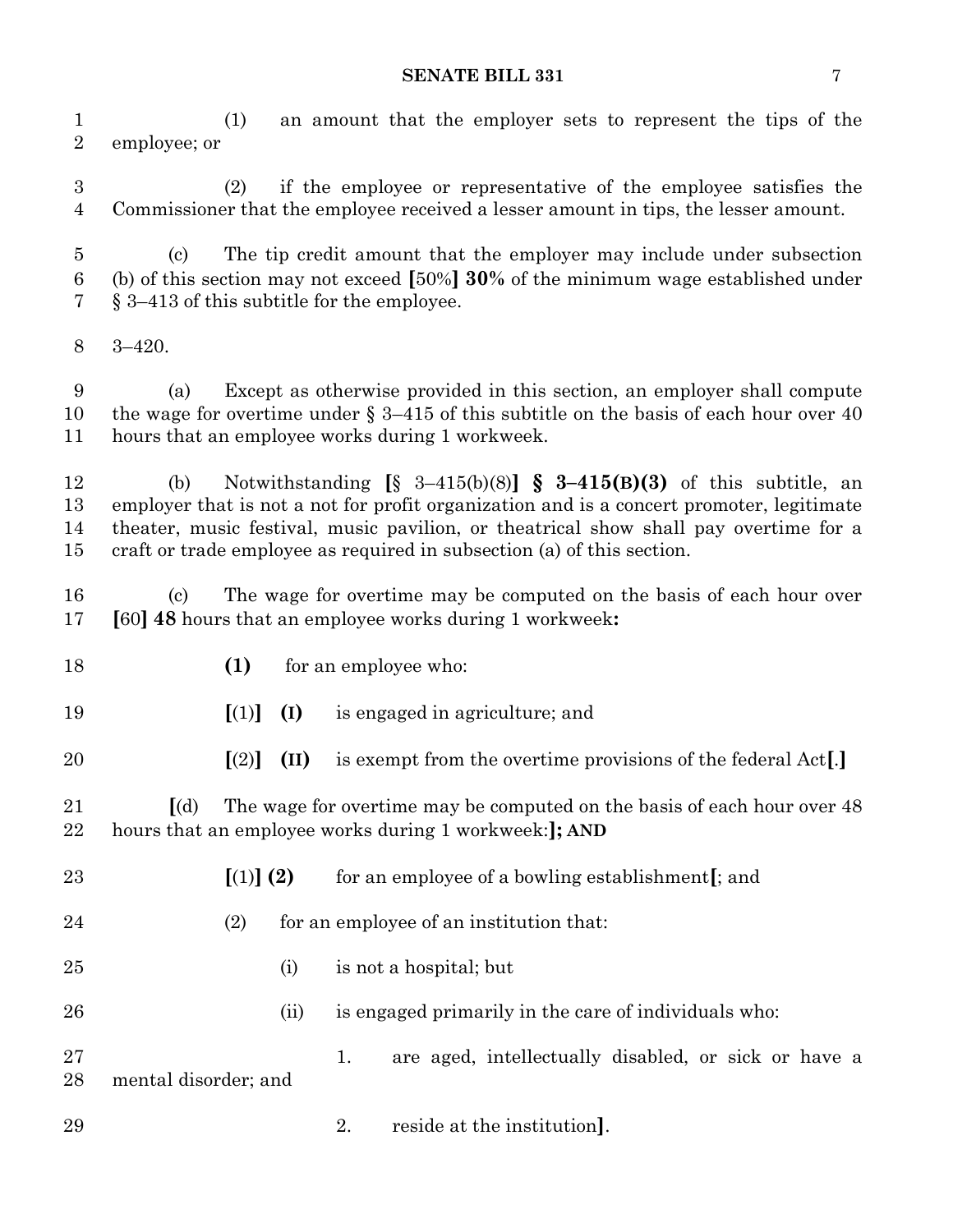(1) an amount that the employer sets to represent the tips of the employee; or

 (2) if the employee or representative of the employee satisfies the Commissioner that the employee received a lesser amount in tips, the lesser amount.

 (c) The tip credit amount that the employer may include under subsection (b) of this section may not exceed **[**50%**] 30%** of the minimum wage established under § 3–413 of this subtitle for the employee.

3–420.

 (a) Except as otherwise provided in this section, an employer shall compute the wage for overtime under § 3–415 of this subtitle on the basis of each hour over 40 hours that an employee works during 1 workweek.

 (b) Notwithstanding **[**§ 3–415(b)(8)**] § 3–415(B)(3)** of this subtitle, an employer that is not a not for profit organization and is a concert promoter, legitimate theater, music festival, music pavilion, or theatrical show shall pay overtime for a craft or trade employee as required in subsection (a) of this section.

 (c) The wage for overtime may be computed on the basis of each hour over **[**60**] 48** hours that an employee works during 1 workweek**:**

**(1)** for an employee who:

**[**(1)**] (I)** is engaged in agriculture; and

**[**(2)**] (II)** is exempt from the overtime provisions of the federal Act**[**.**]**

 **[**(d) The wage for overtime may be computed on the basis of each hour over 48 hours that an employee works during 1 workweek:**]; AND**

| 23       | $(1)$ (2)            | for an employee of a bowling establishment [; and          |
|----------|----------------------|------------------------------------------------------------|
| 24       | (2)                  | for an employee of an institution that:                    |
| 25       | (i)                  | is not a hospital; but                                     |
| 26       | (ii)                 | is engaged primarily in the care of individuals who:       |
| 27<br>28 | mental disorder; and | are aged, intellectually disabled, or sick or have a<br>1. |
| 29       |                      | reside at the institution.                                 |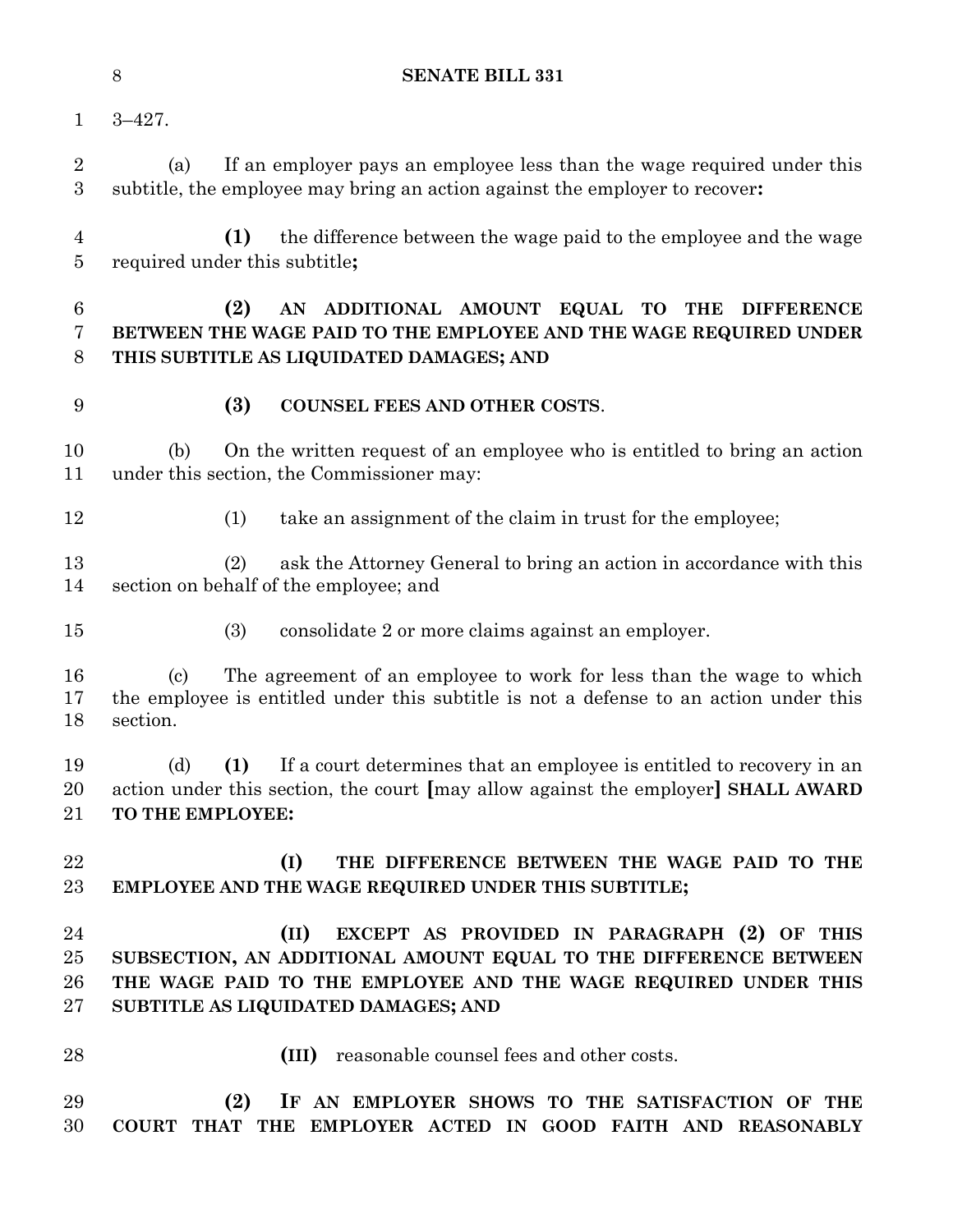|                          | $8\,$<br><b>SENATE BILL 331</b>                                                                                                                                                                                                  |
|--------------------------|----------------------------------------------------------------------------------------------------------------------------------------------------------------------------------------------------------------------------------|
| $\mathbf{1}$             | $3 - 427$ .                                                                                                                                                                                                                      |
| $\overline{2}$<br>3      | If an employer pays an employee less than the wage required under this<br>(a)<br>subtitle, the employee may bring an action against the employer to recover:                                                                     |
| 4<br>5                   | (1)<br>the difference between the wage paid to the employee and the wage<br>required under this subtitle;                                                                                                                        |
| 6<br>7<br>8              | (2)<br>AN ADDITIONAL AMOUNT EQUAL TO<br><b>THE</b><br><b>DIFFERENCE</b><br>BETWEEN THE WAGE PAID TO THE EMPLOYEE AND THE WAGE REQUIRED UNDER<br>THIS SUBTITLE AS LIQUIDATED DAMAGES; AND                                         |
| 9                        | (3)<br>COUNSEL FEES AND OTHER COSTS.                                                                                                                                                                                             |
| 10<br>11                 | On the written request of an employee who is entitled to bring an action<br>(b)<br>under this section, the Commissioner may:                                                                                                     |
| 12                       | take an assignment of the claim in trust for the employee;<br>(1)                                                                                                                                                                |
| 13<br>14                 | ask the Attorney General to bring an action in accordance with this<br>(2)<br>section on behalf of the employee; and                                                                                                             |
| 15                       | (3)<br>consolidate 2 or more claims against an employer.                                                                                                                                                                         |
| 16<br>17<br>18           | The agreement of an employee to work for less than the wage to which<br>$\left( \mathrm{c}\right)$<br>the employee is entitled under this subtitle is not a defense to an action under this<br>section.                          |
| 19<br>20<br>21           | (1) If a court determines that an employee is entitled to recovery in an<br>(d)<br>action under this section, the court [may allow against the employer] SHALL AWARD<br>TO THE EMPLOYEE:                                         |
| 22<br>23                 | (I)<br>THE DIFFERENCE BETWEEN THE WAGE PAID TO THE<br>EMPLOYEE AND THE WAGE REQUIRED UNDER THIS SUBTITLE;                                                                                                                        |
| 24<br>25<br>26<br>$27\,$ | (II)<br>EXCEPT AS PROVIDED IN PARAGRAPH (2) OF THIS<br>SUBSECTION, AN ADDITIONAL AMOUNT EQUAL TO THE DIFFERENCE BETWEEN<br>THE WAGE PAID TO THE EMPLOYEE AND THE WAGE REQUIRED UNDER THIS<br>SUBTITLE AS LIQUIDATED DAMAGES; AND |
| 28                       | reasonable counsel fees and other costs.<br>(III)                                                                                                                                                                                |
| 29<br>30                 | (2)<br>IF AN EMPLOYER SHOWS TO THE SATISFACTION OF THE<br>COURT THAT THE EMPLOYER ACTED IN GOOD FAITH AND REASONABLY                                                                                                             |